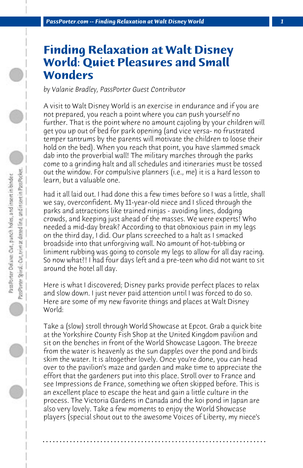## **Finding Relaxation at Walt Disney World: Quiet Pleasures and Small Wonders**

*by Valanie Bradley, PassPorter Guest Contributor*

A visit to Walt Disney World is an exercise in endurance and if you are not prepared, you reach a point where you can push yourself no further. That is the point where no amount cajoling by your children will get you up out of bed for park opening (and vice versa- no frustrated temper tantrums by the parents will motivate the children to loose their hold on the bed). When you reach that point, you have slammed smack dab into the proverbial wall! The military marches through the parks come to a grinding halt and all schedules and itineraries must be tossed out the window. For compulsive planners (i.e., me) it is a hard lesson to learn, but a valuable one.

had it all laid out. I had done this a few times before so I was a little, shall we say, overconfident. My 11-year-old niece and I sliced through the parks and attractions like trained ninjas - avoiding lines, dodging crowds, and keeping just ahead of the masses. We were experts! Who needed a mid-day break? According to that obnoxious pain in my legs on the third day, I did. Our plans screeched to a halt as I smacked broadside into that unforgiving wall. No amount of hot-tubbing or liniment rubbing was going to console my legs to allow for all day racing. So now what?! I had four days left and a pre-teen who did not want to sit around the hotel all day.

Here is what I discovered; Disney parks provide perfect places to relax and slow down. I just never paid attention until I was forced to do so. Here are some of my new favorite things and places at Walt Disney World:

Take a (slow) stroll through World Showcase at Epcot. Grab a quick bite at the Yorkshire County Fish Shop at the United Kingdom pavilion and sit on the benches in front of the World Showcase Lagoon. The breeze from the water is heavenly as the sun dapples over the pond and birds skim the water. It is altogether lovely. Once you're done, you can head over to the pavilion's maze and garden and make time to appreciate the effort that the gardeners put into this place. Stroll over to France and see Impressions de France, something we often skipped before. This is an excellent place to escape the heat and gain a little culture in the process. The Victoria Gardens in Canada and the koi pond in Japan are also very lovely. Take a few moments to enjoy the World Showcase players (special shout out to the awesome Voices of Liberty, my niece's

**. . . . . . . . . . . . . . . . . . . . . . . . . . . . . . . . . . . . . . . . . . . . . . . . . . . . . . . . . . . . . . . . . .**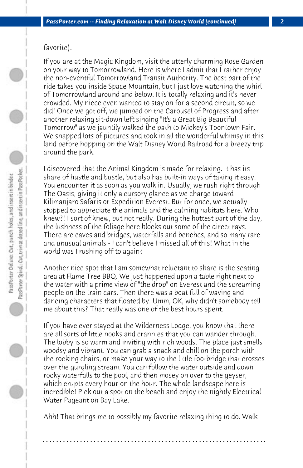## favorite).

If you are at the Magic Kingdom, visit the utterly charming Rose Garden on your way to Tomorrowland. Here is where I admit that I rather enjoy the non-eventful Tomorrowland Transit Authority. The best part of the ride takes you inside Space Mountain, but I just love watching the whirl of Tomorrowland around and below. It is totally relaxing and it's never crowded. My niece even wanted to stay on for a second circuit, so we did! Once we got off, we jumped on the Carousel of Progress and after another relaxing sit-down left singing "It's a Great Big Beautiful Tomorrow" as we jauntily walked the path to Mickey's Toontown Fair. We snapped lots of pictures and took in all the wonderful whimsy in this land before hopping on the Walt Disney World Railroad for a breezy trip around the park.

I discovered that the Animal Kingdom is made for relaxing. It has its share of hustle and bustle, but also has built-in ways of taking it easy. You encounter it as soon as you walk in. Usually, we rush right through The Oasis, giving it only a cursory glance as we charge toward Kilimanjaro Safaris or Expedition Everest. But for once, we actually stopped to appreciate the animals and the calming habitats here. Who knew?! I sort of knew, but not really. During the hottest part of the day, the lushness of the foliage here blocks out some of the direct rays. There are caves and bridges, waterfalls and benches, and so many rare and unusual animals - I can't believe I missed all of this! What in the world was I rushing off to again?

Another nice spot that I am somewhat reluctant to share is the seating area at Flame Tree BBQ. We just happened upon a table right next to the water with a prime view of "the drop" on Everest and the screaming people on the train cars. Then there was a boat full of waving and dancing characters that floated by. Umm, OK, why didn't somebody tell me about this? That really was one of the best hours spent.

If you have ever stayed at the Wilderness Lodge, you know that there are all sorts of little nooks and crannies that you can wander through. The lobby is so warm and inviting with rich woods. The place just smells woodsy and vibrant. You can grab a snack and chill on the porch with the rocking chairs, or make your way to the little footbridge that crosses over the gurgling stream. You can follow the water outside and down rocky waterfalls to the pool, and then mosey on over to the geyser, which erupts every hour on the hour. The whole landscape here is incredible! Pick out a spot on the beach and enjoy the nightly Electrical Water Pageant on Bay Lake.

Ahh! That brings me to possibly my favorite relaxing thing to do. Walk

**. . . . . . . . . . . . . . . . . . . . . . . . . . . . . . . . . . . . . . . . . . . . . . . . . . . . . . . . . . . . . . . . . .**